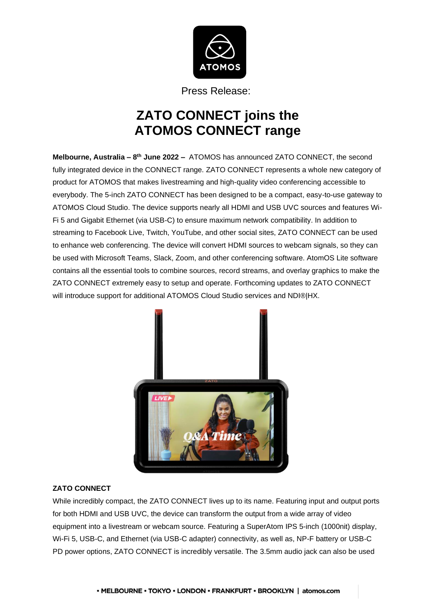

Press Release:

# **ZATO CONNECT joins the ATOMOS CONNECT range**

**Melbourne, Australia – 8 th June 2022 –** ATOMOS has announced ZATO CONNECT, the second fully integrated device in the CONNECT range. ZATO CONNECT represents a whole new category of product for ATOMOS that makes livestreaming and high-quality video conferencing accessible to everybody. The 5-inch ZATO CONNECT has been designed to be a compact, easy-to-use gateway to ATOMOS Cloud Studio. The device supports nearly all HDMI and USB UVC sources and features Wi-Fi 5 and Gigabit Ethernet (via USB-C) to ensure maximum network compatibility. In addition to streaming to Facebook Live, Twitch, YouTube, and other social sites, ZATO CONNECT can be used to enhance web conferencing. The device will convert HDMI sources to webcam signals, so they can be used with Microsoft Teams, Slack, Zoom, and other conferencing software. AtomOS Lite software contains all the essential tools to combine sources, record streams, and overlay graphics to make the ZATO CONNECT extremely easy to setup and operate. Forthcoming updates to ZATO CONNECT will introduce support for additional ATOMOS Cloud Studio services and NDI®|HX.



## **ZATO CONNECT**

While incredibly compact, the ZATO CONNECT lives up to its name. Featuring input and output ports for both HDMI and USB UVC, the device can transform the output from a wide array of video equipment into a livestream or webcam source. Featuring a SuperAtom IPS 5-inch (1000nit) display, Wi-Fi 5, USB-C, and Ethernet (via USB-C adapter) connectivity, as well as, NP-F battery or USB-C PD power options, ZATO CONNECT is incredibly versatile. The 3.5mm audio jack can also be used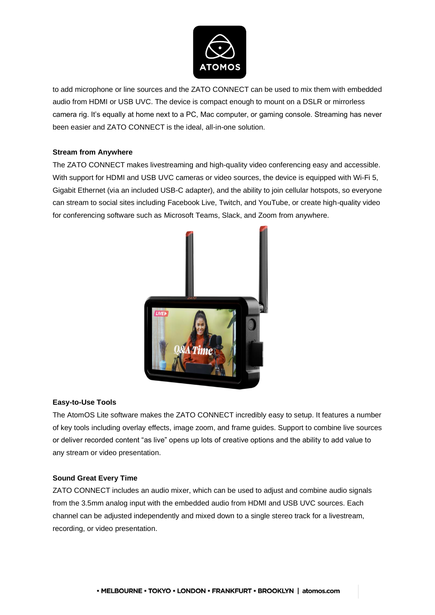

to add microphone or line sources and the ZATO CONNECT can be used to mix them with embedded audio from HDMI or USB UVC. The device is compact enough to mount on a DSLR or mirrorless camera rig. It's equally at home next to a PC, Mac computer, or gaming console. Streaming has never been easier and ZATO CONNECT is the ideal, all-in-one solution.

### **Stream from Anywhere**

The ZATO CONNECT makes livestreaming and high-quality video conferencing easy and accessible. With support for HDMI and USB UVC cameras or video sources, the device is equipped with Wi-Fi 5, Gigabit Ethernet (via an included USB-C adapter), and the ability to join cellular hotspots, so everyone can stream to social sites including Facebook Live, Twitch, and YouTube, or create high-quality video for conferencing software such as Microsoft Teams, Slack, and Zoom from anywhere.



## **Easy-to-Use Tools**

The AtomOS Lite software makes the ZATO CONNECT incredibly easy to setup. It features a number of key tools including overlay effects, image zoom, and frame guides. Support to combine live sources or deliver recorded content "as live" opens up lots of creative options and the ability to add value to any stream or video presentation.

#### **Sound Great Every Time**

ZATO CONNECT includes an audio mixer, which can be used to adjust and combine audio signals from the 3.5mm analog input with the embedded audio from HDMI and USB UVC sources. Each channel can be adjusted independently and mixed down to a single stereo track for a livestream, recording, or video presentation.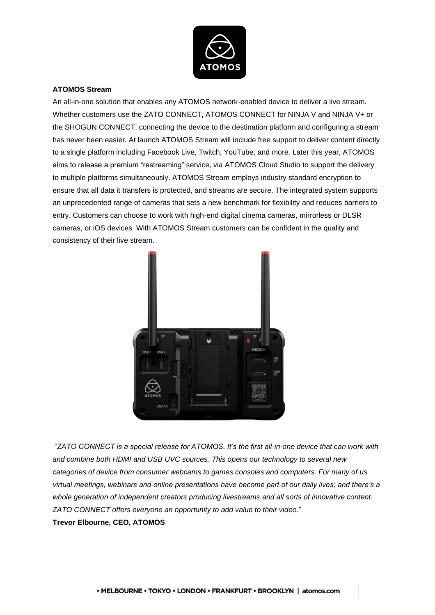

#### **ATOMOS Stream**

An all-in-one solution that enables any ATOMOS network-enabled device to deliver a live stream. Whether customers use the ZATO CONNECT, ATOMOS CONNECT for NINJA V and NINJA V+ or the SHOGUN CONNECT, connecting the device to the destination platform and configuring a stream has never been easier. At launch ATOMOS Stream will include free support to deliver content directly to a single platform including Facebook Live, Twitch, YouTube, and more. Later this year, ATOMOS aims to release a premium "restreaming" service, via ATOMOS Cloud Studio to support the delivery to multiple platforms simultaneously. ATOMOS Stream employs industry standard encryption to ensure that all data it transfers is protected, and streams are secure. The integrated system supports an unprecedented range of cameras that sets a new benchmark for flexibility and reduces barriers to entry. Customers can choose to work with high-end digital cinema cameras, mirrorless or DLSR cameras, or iOS devices. With ATOMOS Stream customers can be confident in the quality and consistency of their live stream.



"*ZATO CONNECT is a special release for ATOMOS. It's the first all-in-one device that can work with and combine both HDMI and USB UVC sources. This opens our technology to several new categories of device from consumer webcams to games consoles and computers. For many of us virtual meetings, webinars and online presentations have become part of our daily lives; and there's a whole generation of independent creators producing livestreams and all sorts of innovative content. ZATO CONNECT offers everyone an opportunity to add value to their video*."

**Trevor Elbourne, CEO, ATOMOS**